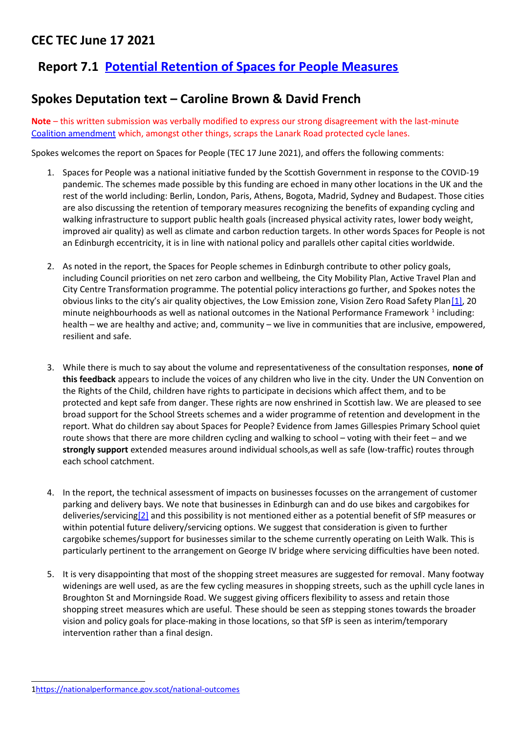## **CEC TEC June 17 2021**

## **Report 7.1 [Potential Retention of Spaces for People Measures](https://democracy.edinburgh.gov.uk/documents/s34888/7.1%20-%20Potential%20Retention%20of%20SfP%20measures.pdf)**

## **Spokes Deputation text – Caroline Brown & David French**

**Note** – this written submission was verbally modified to express our strong disagreement with the last-minute [Coalition amendment](https://democracy.edinburgh.gov.uk/documents/b18368/Motions%20and%20Amendments%2017th-Jun-2021%2010.00%20Transport%20and%20Environment%20Committee.pdf?T=9) which, amongst other things, scraps the Lanark Road protected cycle lanes.

Spokes welcomes the report on Spaces for People (TEC 17 June 2021), and offers the following comments:

- 1. Spaces for People was a national initiative funded by the Scottish Government in response to the COVID-19 pandemic. The schemes made possible by this funding are echoed in many other locations in the UK and the rest of the world including: Berlin, London, Paris, Athens, Bogota, Madrid, Sydney and Budapest. Those cities are also discussing the retention of temporary measures recognizing the benefits of expanding cycling and walking infrastructure to support public health goals (increased physical activity rates, lower body weight, improved air quality) as well as climate and carbon reduction targets. In other words Spaces for People is not an Edinburgh eccentricity, it is in line with national policy and parallels other capital cities worldwide.
- <span id="page-0-1"></span>2. As noted in the report, the Spaces for People schemes in Edinburgh contribute to other policy goals, including Council priorities on net zero carbon and wellbeing, the City Mobility Plan, Active Travel Plan and City Centre Transformation programme. The potential policy interactions go further, and Spokes notes the obvious links to the city's air quality objectives, the Low Emission zone, Vision Zero Road Safety Plan[\[1\],](#page-0-1) 20 minute neighbourhoods as well as national outcomes in the National Performance Framework  $^1$  $^1$  including: health – we are healthy and active; and, community – we live in communities that are inclusive, empowered, resilient and safe.
- 3. While there is much to say about the volume and representativeness of the consultation responses, **none of this feedback** appears to include the voices of any children who live in the city. Under the UN Convention on the Rights of the Child, children have rights to participate in decisions which affect them, and to be protected and kept safe from danger. These rights are now enshrined in Scottish law. We are pleased to see broad support for the School Streets schemes and a wider programme of retention and development in the report. What do children say about Spaces for People? Evidence from James Gillespies Primary School quiet route shows that there are more children cycling and walking to school – voting with their feet – and we **strongly support** extended measures around individual schools,as well as safe (low-traffic) routes through each school catchment.
- <span id="page-0-0"></span>4. In the report, the technical assessment of impacts on businesses focusses on the arrangement of customer parking and delivery bays. We note that businesses in Edinburgh can and do use bikes and cargobikes for deliveries/servicin[g\[2\]](#page-0-0) and this possibility is not mentioned either as a potential benefit of SfP measures or within potential future delivery/servicing options. We suggest that consideration is given to further cargobike schemes/support for businesses similar to the scheme currently operating on Leith Walk. This is particularly pertinent to the arrangement on George IV bridge where servicing difficulties have been noted.
- 5. It is very disappointing that most of the shopping street measures are suggested for removal. Many footway widenings are well used, as are the few cycling measures in shopping streets, such as the uphill cycle lanes in Broughton St and Morningside Road. We suggest giving officers flexibility to assess and retain those shopping street measures which are useful. These should be seen as stepping stones towards the broader vision and policy goals for place-making in those locations, so that SfP is seen as interim/temporary intervention rather than a final design.

<span id="page-0-2"></span>[<sup>1</sup>https://nationalperformance.gov.scot/national-outcomes](https://nationalperformance.gov.scot/national-outcomes)